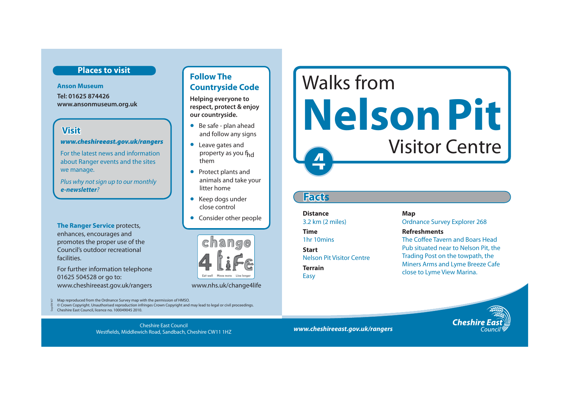#### **Places to visit**

**Anson Museum Tel: 01625 874426 www.ansonmuseum.org.uk** 

### **Visit**

Sep 09/167

#### *www.cheshireeast.gov.uk/rangers*

For the latest news and information about Ranger events and the sites we manage.

Plus why not sign up to our monthly *e-newsletter*?

**The Ranger Service** protects, enhances, encourages and promotes the proper use of the Council's outdoor recreational facilities.

For further information telephone 01625 504528 or go to: www.cheshireeast.gov.uk/rangers www.nhs.uk/change4life

### **Follow The Countryside Code**

**Helping everyone to respect, protect & enjoy our countryside.**

- Be safe plan ahead and follow any signs
- Leave gates and property as you f<sub>hd</sub> them
- Protect plants and animals and take your litter home
- Keep dogs under close control
- Consider other people



Map reproduced from the Ordnance Survey map with the permission of HMSO.

 © Crown Copyright. Unauthorised reproduction infringes Crown Copyright and may lead to legal or civil proceedings. Cheshire East Council, licence no. 100049045 2010.

*www.cheshireeast.gov.uk/rangers* Cheshire East Council Westfields, Middlewich Road, Sandbach, Cheshire CW11 1HZ

# **4** Walks from **Nelson Pit**  Visitor Centre

## **Facts**

**Distance** Map

3.2 km (2 miles) Cordnance Survey Explorer 268

#### **Time Refreshments**

1hr 10mins The Coffee Tayern and Boars Head **Start Start Pub situated near to Nelson Pit, the** Nelson Pit Visitor Centre Trading Post on the towpath, the **Terrain** Miners Arms and Lyme Breeze Cafe<br> **Easy** Close to Lyme View Marina.

**Cheshire**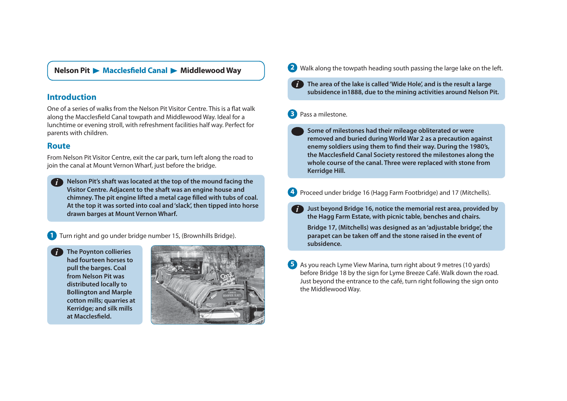#### **Nelson Pit ▶ Macclesfield Canal ▶ Middlewood Way**

#### **Introduction**

One of a series of walks from the Nelson Pit Visitor Centre. This is a flat walk along the Macclesfield Canal towpath and Middlewood Way. Ideal for a lunchtime or evening stroll, with refreshment facilities half way. Perfect for

**Nelson Pit's shaft was located at the top of the mound facing the**  *i***Visitor Centre. Adjacent to the shaft was an engine house and chimney. The pit engine lifted a metal cage filled with tubs of coal. At the top it was sorted into coal and 'slack', then tipped into horse drawn barges at Mount Vernon Wharf.** 

**1** Turn right and go under bridge number 15, (Brownhills Bridge).

**The Poynton collieries had fourteen horses to pull the barges. Coal from Nelson Pit was distributed locally to Bollington and Marple cotton mills; quarries at Kerridge; and silk mills**  at Macclesfield.



- **2 Walk along the towpath heading south passing the large lake on the left.** 
	- **The area of the lake is called 'Wide Hole', and is the result a large subsidence in1888, due to the mining activities around Nelson Pit.**  *i*

#### **3** Pass a milestone.

- parents with children.<br>
parents with children.<br> **Example 2** Some of milestones had their mileage obliterated or were<br>
removed and buried during World War 2 as a precaution against **Route Route** *enemy soldiers using them to find their way. During the 1980's,* **<b>***enemy soldiers using them to find their way. During the 1980's,* From Nelson Pit Visitor Centre, exit the car park, turn left along the road to<br>
join the canal at Mount Vernon Wharf, just before the bridge.<br> **Example 1999 Starting the Canal. Three were replaced with stone from**<br> **Exampl** 
	- **4** Proceed under bridge 16 (Hagg Farm Footbridge) and 17 (Mitchells).
		- **Just beyond Bridge 16, notice the memorial rest area, provided by the Hagg Farm Estate, with picnic table, benches and chairs. Bridge 17, (Mitchells) was designed as an 'adjustable bridge', the parapet can be taken off and the stone raised in the event of subsidence.** *i*
	- **5** As you reach Lyme View Marina, turn right about 9 metres (10 yards) before Bridge 18 by the sign for Lyme Breeze Café. Walk down the road. Just beyond the entrance to the café, turn right following the sign onto the Middlewood Way.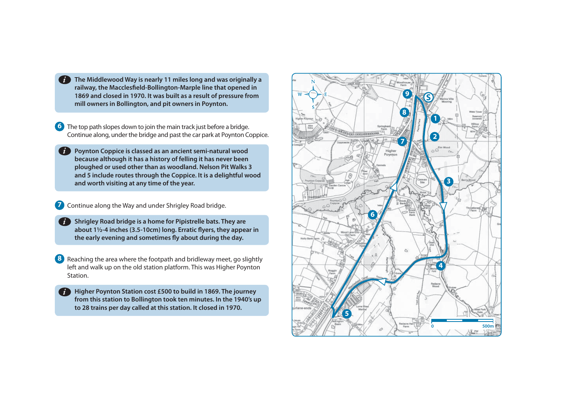**The Middlewood Way is nearly 11 miles long and was originally a railway, the Macclesfield-Bollington-Marple line that opened in 1869 and closed in 1970. It was built as a result of pressure from mill owners in Bollington, and pit owners in Poynton.** 

**6** The top path slopes down to join the main track just before a bridge. Continue along, under the bridge and past the car park at Poynton Coppice.

**Poynton Coppice is classed as an ancient semi-natural wood because although it has a history of felling it has never been ploughed or used other than as woodland. Nelson Pit Walks 3 and 5 include routes through the Coppice. It is a delightful wood and worth visiting at any time of the year.** 

**7** Continue along the Way and under Shrigley Road bridge.

**Shrigley Road bridge is a home for Pipistrelle bats. They are about 1½-4 inches (3.5-10cm) long. Erratic flyers, they appear in the early evening and sometimes fly about during the day.** 

**8** Reaching the area where the footpath and bridleway meet, go slightly left and walk up on the old station platform. This was Higher Poynton Station.

**Higher Poynton Station cost £500 to build in 1869. The journey from this station to Bollington took ten minutes. In the 1940's up to 28 trains per day called at this station. It closed in 1970.**